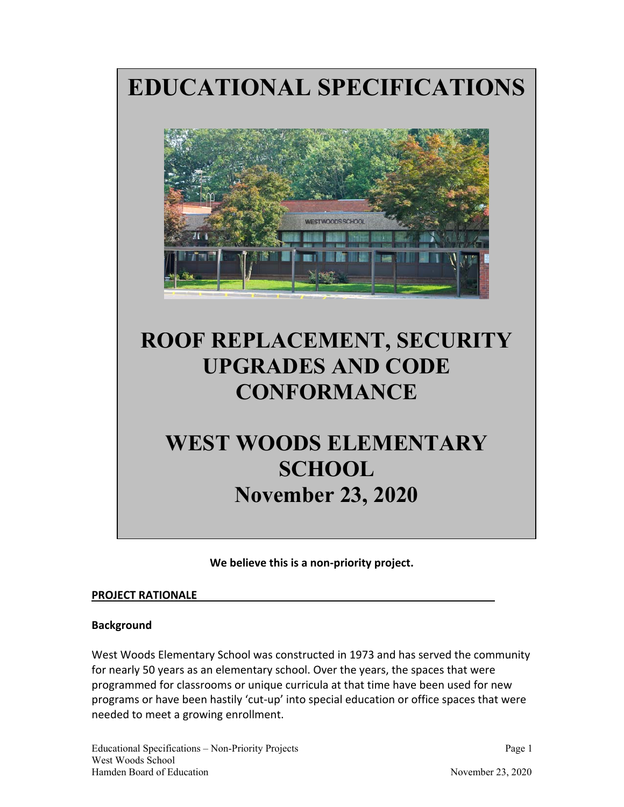**EDUCATIONAL SPECIFICATIONS**



# **ROOF REPLACEMENT, SECURITY UPGRADES AND CODE CONFORMANCE**

## **WEST WOODS ELEMENTARY SCHOOL November 23, 2020**

**We believe this is a non‐priority project.** 

#### **PROJECT RATIONALE**

## **Background**

West Woods Elementary School was constructed in 1973 and has served the community for nearly 50 years as an elementary school. Over the years, the spaces that were programmed for classrooms or unique curricula at that time have been used for new programs or have been hastily 'cut-up' into special education or office spaces that were needed to meet a growing enrollment.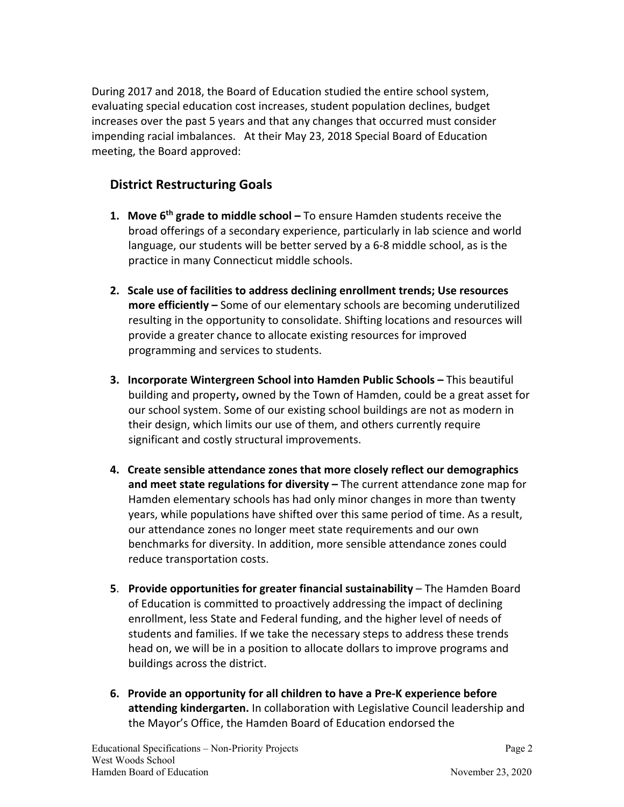During 2017 and 2018, the Board of Education studied the entire school system, evaluating special education cost increases, student population declines, budget increases over the past 5 years and that any changes that occurred must consider impending racial imbalances. At their May 23, 2018 Special Board of Education meeting, the Board approved:

## **District Restructuring Goals**

- **1. Move 6th grade to middle school** To ensure Hamden students receive the broad offerings of a secondary experience, particularly in lab science and world language, our students will be better served by a 6‐8 middle school, as is the practice in many Connecticut middle schools.
- **2. Scale use of facilities to address declining enrollment trends; Use resources more efficiently –** Some of our elementary schools are becoming underutilized resulting in the opportunity to consolidate. Shifting locations and resources will provide a greater chance to allocate existing resources for improved programming and services to students.
- **3. Incorporate Wintergreen School into Hamden Public Schools** This beautiful building and property**,** owned by the Town of Hamden, could be a great asset for our school system. Some of our existing school buildings are not as modern in their design, which limits our use of them, and others currently require significant and costly structural improvements.
- **4. Create sensible attendance zones that more closely reflect our demographics and meet state regulations for diversity –** The current attendance zone map for Hamden elementary schools has had only minor changes in more than twenty years, while populations have shifted over this same period of time. As a result, our attendance zones no longer meet state requirements and our own benchmarks for diversity. In addition, more sensible attendance zones could reduce transportation costs.
- **5**. **Provide opportunities for greater financial sustainability** The Hamden Board of Education is committed to proactively addressing the impact of declining enrollment, less State and Federal funding, and the higher level of needs of students and families. If we take the necessary steps to address these trends head on, we will be in a position to allocate dollars to improve programs and buildings across the district.
- **6. Provide an opportunity for all children to have a Pre‐K experience before attending kindergarten.** In collaboration with Legislative Council leadership and the Mayor's Office, the Hamden Board of Education endorsed the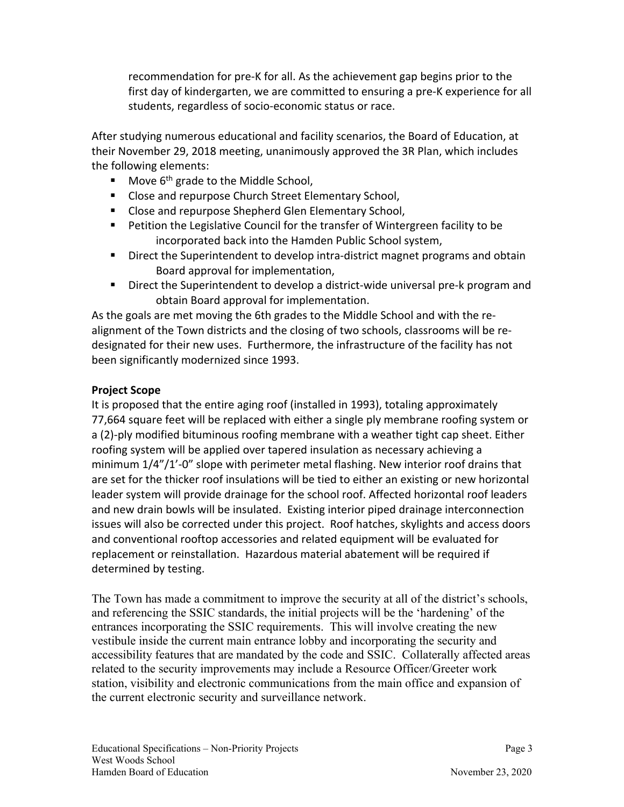recommendation for pre‐K for all. As the achievement gap begins prior to the first day of kindergarten, we are committed to ensuring a pre‐K experience for all students, regardless of socio‐economic status or race.

After studying numerous educational and facility scenarios, the Board of Education, at their November 29, 2018 meeting, unanimously approved the 3R Plan, which includes the following elements:

- Move  $6<sup>th</sup>$  grade to the Middle School,
- **Close and repurpose Church Street Elementary School,**
- **E** Close and repurpose Shepherd Glen Elementary School,
- **Petition the Legislative Council for the transfer of Wintergreen facility to be** incorporated back into the Hamden Public School system,
- Direct the Superintendent to develop intra-district magnet programs and obtain Board approval for implementation,
- Direct the Superintendent to develop a district-wide universal pre-k program and obtain Board approval for implementation.

As the goals are met moving the 6th grades to the Middle School and with the re‐ alignment of the Town districts and the closing of two schools, classrooms will be re‐ designated for their new uses. Furthermore, the infrastructure of the facility has not been significantly modernized since 1993.

## **Project Scope**

It is proposed that the entire aging roof (installed in 1993), totaling approximately 77,664 square feet will be replaced with either a single ply membrane roofing system or a (2)‐ply modified bituminous roofing membrane with a weather tight cap sheet. Either roofing system will be applied over tapered insulation as necessary achieving a minimum 1/4"/1'-0" slope with perimeter metal flashing. New interior roof drains that are set for the thicker roof insulations will be tied to either an existing or new horizontal leader system will provide drainage for the school roof. Affected horizontal roof leaders and new drain bowls will be insulated. Existing interior piped drainage interconnection issues will also be corrected under this project. Roof hatches, skylights and access doors and conventional rooftop accessories and related equipment will be evaluated for replacement or reinstallation. Hazardous material abatement will be required if determined by testing.

The Town has made a commitment to improve the security at all of the district's schools, and referencing the SSIC standards, the initial projects will be the 'hardening' of the entrances incorporating the SSIC requirements. This will involve creating the new vestibule inside the current main entrance lobby and incorporating the security and accessibility features that are mandated by the code and SSIC. Collaterally affected areas related to the security improvements may include a Resource Officer/Greeter work station, visibility and electronic communications from the main office and expansion of the current electronic security and surveillance network.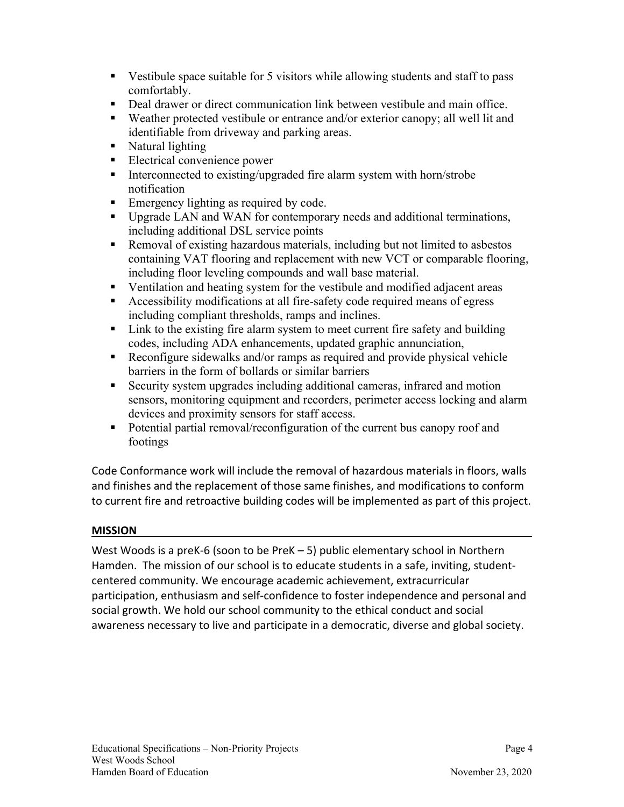- Vestibule space suitable for 5 visitors while allowing students and staff to pass comfortably.
- Deal drawer or direct communication link between vestibule and main office.
- Weather protected vestibule or entrance and/or exterior canopy; all well lit and identifiable from driveway and parking areas.
- Natural lighting
- Electrical convenience power
- Interconnected to existing/upgraded fire alarm system with horn/strobe notification
- Emergency lighting as required by code.
- Upgrade LAN and WAN for contemporary needs and additional terminations, including additional DSL service points
- Removal of existing hazardous materials, including but not limited to asbestos containing VAT flooring and replacement with new VCT or comparable flooring, including floor leveling compounds and wall base material.
- Ventilation and heating system for the vestibule and modified adjacent areas
- Accessibility modifications at all fire-safety code required means of egress including compliant thresholds, ramps and inclines.
- Link to the existing fire alarm system to meet current fire safety and building codes, including ADA enhancements, updated graphic annunciation,
- Reconfigure sidewalks and/or ramps as required and provide physical vehicle barriers in the form of bollards or similar barriers
- Security system upgrades including additional cameras, infrared and motion sensors, monitoring equipment and recorders, perimeter access locking and alarm devices and proximity sensors for staff access.
- Potential partial removal/reconfiguration of the current bus canopy roof and footings

Code Conformance work will include the removal of hazardous materials in floors, walls and finishes and the replacement of those same finishes, and modifications to conform to current fire and retroactive building codes will be implemented as part of this project.

## **MISSION**

West Woods is a preK-6 (soon to be PreK – 5) public elementary school in Northern Hamden. The mission of our school is to educate students in a safe, inviting, student‐ centered community. We encourage academic achievement, extracurricular participation, enthusiasm and self‐confidence to foster independence and personal and social growth. We hold our school community to the ethical conduct and social awareness necessary to live and participate in a democratic, diverse and global society.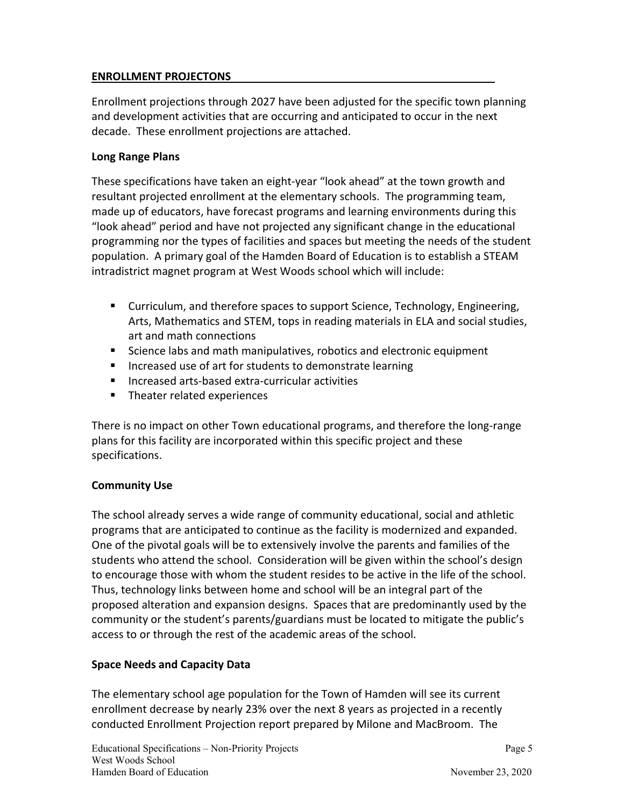## **ENROLLMENT PROJECTONS**

Enrollment projections through 2027 have been adjusted for the specific town planning and development activities that are occurring and anticipated to occur in the next decade. These enrollment projections are attached.

#### **Long Range Plans**

These specifications have taken an eight‐year "look ahead" at the town growth and resultant projected enrollment at the elementary schools. The programming team, made up of educators, have forecast programs and learning environments during this "look ahead" period and have not projected any significant change in the educational programming nor the types of facilities and spaces but meeting the needs of the student population. A primary goal of the Hamden Board of Education is to establish a STEAM intradistrict magnet program at West Woods school which will include:

- **EXECUTER 10 CURTER 10 IN STARK ISON THEORY CONTINUM** Curriculum, and therefore,  $\frac{1}{2}$  Curriculum, and therefore,  $\frac{1}{2}$  Curriculum, and therefore spaces to support Science, Fechnology, Engineering, Arts, Mathematics and STEM, tops in reading materials in ELA and social studies, art and math connections
- Science labs and math manipulatives, robotics and electronic equipment
- **IF Increased use of art for students to demonstrate learning**
- Increased arts-based extra-curricular activities
- **Theater related experiences**

There is no impact on other Town educational programs, and therefore the long-range plans for this facility are incorporated within this specific project and these specifications.

## **Community Use**

The school already serves a wide range of community educational, social and athletic programs that are anticipated to continue as the facility is modernized and expanded. One of the pivotal goals will be to extensively involve the parents and families of the students who attend the school. Consideration will be given within the school's design to encourage those with whom the student resides to be active in the life of the school. Thus, technology links between home and school will be an integral part of the proposed alteration and expansion designs. Spaces that are predominantly used by the community or the student's parents/guardians must be located to mitigate the public's access to or through the rest of the academic areas of the school.

## **Space Needs and Capacity Data**

The elementary school age population for the Town of Hamden will see its current enrollment decrease by nearly 23% over the next 8 years as projected in a recently conducted Enrollment Projection report prepared by Milone and MacBroom. The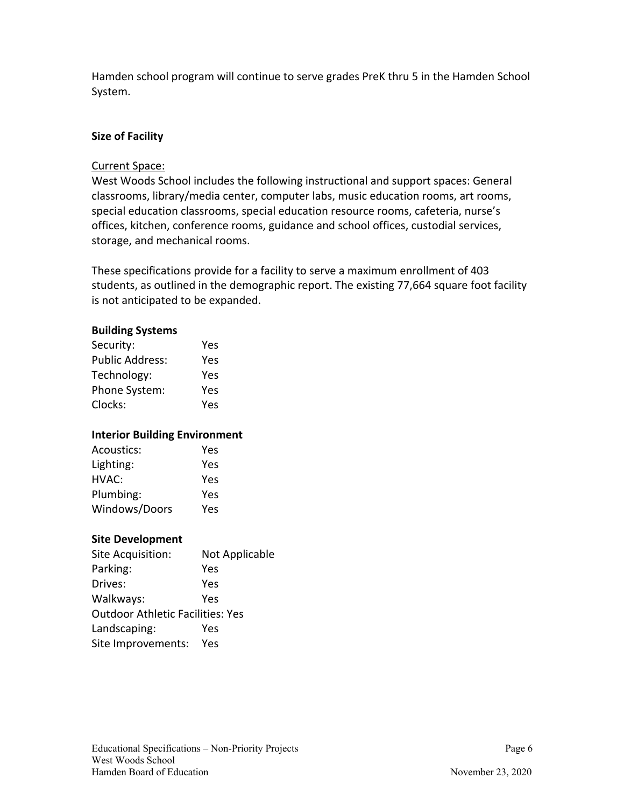Hamden school program will continue to serve grades PreK thru 5 in the Hamden School System.

#### **Size of Facility**

#### Current Space:

West Woods School includes the following instructional and support spaces: General classrooms, library/media center, computer labs, music education rooms, art rooms, special education classrooms, special education resource rooms, cafeteria, nurse's offices, kitchen, conference rooms, guidance and school offices, custodial services, storage, and mechanical rooms.

These specifications provide for a facility to serve a maximum enrollment of 403 students, as outlined in the demographic report. The existing 77,664 square foot facility is not anticipated to be expanded.

#### **Building Systems**

| Security:              | Yes |
|------------------------|-----|
| <b>Public Address:</b> | Yes |
| Technology:            | Yes |
| Phone System:          | Yes |
| Clocks:                | Yes |

#### **Interior Building Environment**

| Acoustics:    | Yes |
|---------------|-----|
| Lighting:     | Yes |
| HVAC:         | Yes |
| Plumbing:     | Yes |
| Windows/Doors | Yes |

#### **Site Development**

| Site Acquisition:                       | Not Applicable |
|-----------------------------------------|----------------|
| Parking:                                | Yes            |
| Drives:                                 | Yes            |
| Walkways:                               | Yes            |
| <b>Outdoor Athletic Facilities: Yes</b> |                |
| Landscaping:                            | Yes            |
| Site Improvements:                      | Yes            |
|                                         |                |